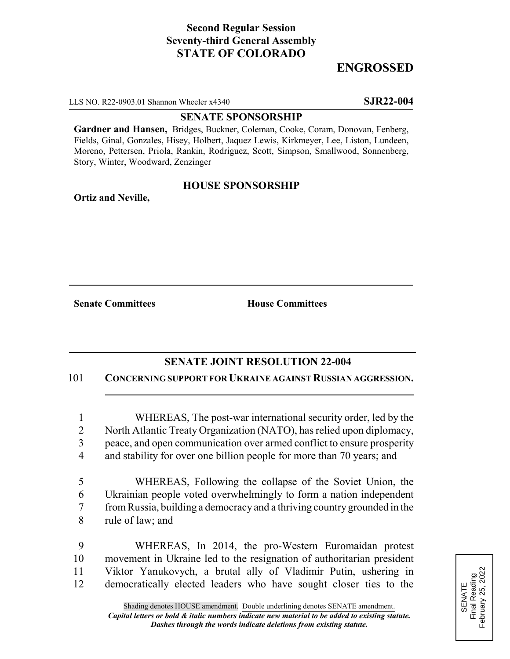# **Second Regular Session Seventy-third General Assembly STATE OF COLORADO**

## **ENGROSSED**

LLS NO. R22-0903.01 Shannon Wheeler x4340 **SJR22-004**

#### **SENATE SPONSORSHIP**

**Gardner and Hansen,** Bridges, Buckner, Coleman, Cooke, Coram, Donovan, Fenberg, Fields, Ginal, Gonzales, Hisey, Holbert, Jaquez Lewis, Kirkmeyer, Lee, Liston, Lundeen, Moreno, Pettersen, Priola, Rankin, Rodriguez, Scott, Simpson, Smallwood, Sonnenberg, Story, Winter, Woodward, Zenzinger

### **HOUSE SPONSORSHIP**

**Ortiz and Neville,**

**Senate Committees House Committees** 

### **SENATE JOINT RESOLUTION 22-004**

101 **CONCERNING SUPPORT FOR UKRAINE AGAINST RUSSIAN AGGRESSION.**

 WHEREAS, The post-war international security order, led by the North Atlantic Treaty Organization (NATO), has relied upon diplomacy, peace, and open communication over armed conflict to ensure prosperity 4 and stability for over one billion people for more than 70 years; and

 WHEREAS, Following the collapse of the Soviet Union, the Ukrainian people voted overwhelmingly to form a nation independent from Russia, building a democracy and a thriving country grounded in the rule of law; and

 WHEREAS, In 2014, the pro-Western Euromaidan protest movement in Ukraine led to the resignation of authoritarian president Viktor Yanukovych, a brutal ally of Vladimir Putin, ushering in democratically elected leaders who have sought closer ties to the

SENATE<br>Final Reading<br>February 25, 2022 Final Reading February 25, 2022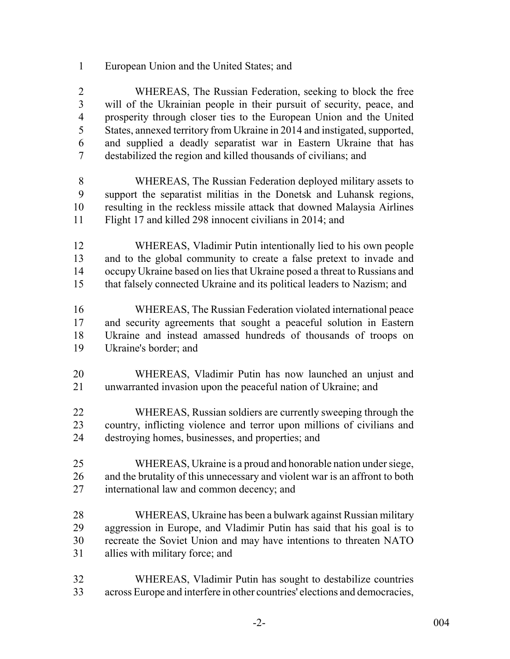European Union and the United States; and

 WHEREAS, The Russian Federation, seeking to block the free will of the Ukrainian people in their pursuit of security, peace, and prosperity through closer ties to the European Union and the United States, annexed territory from Ukraine in 2014 and instigated, supported, and supplied a deadly separatist war in Eastern Ukraine that has destabilized the region and killed thousands of civilians; and

- WHEREAS, The Russian Federation deployed military assets to support the separatist militias in the Donetsk and Luhansk regions, resulting in the reckless missile attack that downed Malaysia Airlines Flight 17 and killed 298 innocent civilians in 2014; and
- WHEREAS, Vladimir Putin intentionally lied to his own people and to the global community to create a false pretext to invade and occupy Ukraine based on lies that Ukraine posed a threat to Russians and that falsely connected Ukraine and its political leaders to Nazism; and
- WHEREAS, The Russian Federation violated international peace and security agreements that sought a peaceful solution in Eastern Ukraine and instead amassed hundreds of thousands of troops on Ukraine's border; and
- WHEREAS, Vladimir Putin has now launched an unjust and unwarranted invasion upon the peaceful nation of Ukraine; and
- WHEREAS, Russian soldiers are currently sweeping through the country, inflicting violence and terror upon millions of civilians and destroying homes, businesses, and properties; and
- WHEREAS, Ukraine is a proud and honorable nation under siege, and the brutality of this unnecessary and violent war is an affront to both international law and common decency; and
- WHEREAS, Ukraine has been a bulwark against Russian military aggression in Europe, and Vladimir Putin has said that his goal is to recreate the Soviet Union and may have intentions to threaten NATO allies with military force; and
- WHEREAS, Vladimir Putin has sought to destabilize countries across Europe and interfere in other countries' elections and democracies,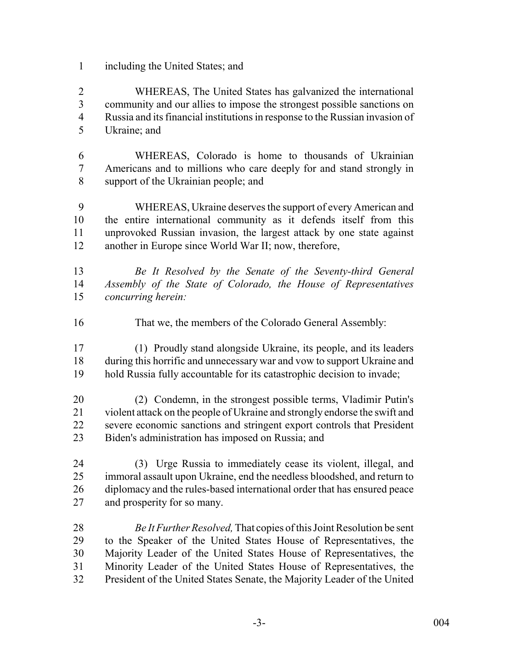including the United States; and

 WHEREAS, The United States has galvanized the international community and our allies to impose the strongest possible sanctions on Russia and its financial institutions in response to the Russian invasion of Ukraine; and

 WHEREAS, Colorado is home to thousands of Ukrainian Americans and to millions who care deeply for and stand strongly in support of the Ukrainian people; and

 WHEREAS, Ukraine deserves the support of every American and the entire international community as it defends itself from this unprovoked Russian invasion, the largest attack by one state against another in Europe since World War II; now, therefore,

- *Be It Resolved by the Senate of the Seventy-third General Assembly of the State of Colorado, the House of Representatives concurring herein:*
- That we, the members of the Colorado General Assembly:
- (1) Proudly stand alongside Ukraine, its people, and its leaders during this horrific and unnecessary war and vow to support Ukraine and hold Russia fully accountable for its catastrophic decision to invade;
- (2) Condemn, in the strongest possible terms, Vladimir Putin's violent attack on the people of Ukraine and strongly endorse the swift and severe economic sanctions and stringent export controls that President Biden's administration has imposed on Russia; and
- (3) Urge Russia to immediately cease its violent, illegal, and immoral assault upon Ukraine, end the needless bloodshed, and return to 26 diplomacy and the rules-based international order that has ensured peace and prosperity for so many.

 *Be It Further Resolved,* That copies of this Joint Resolution be sent to the Speaker of the United States House of Representatives, the Majority Leader of the United States House of Representatives, the Minority Leader of the United States House of Representatives, the President of the United States Senate, the Majority Leader of the United